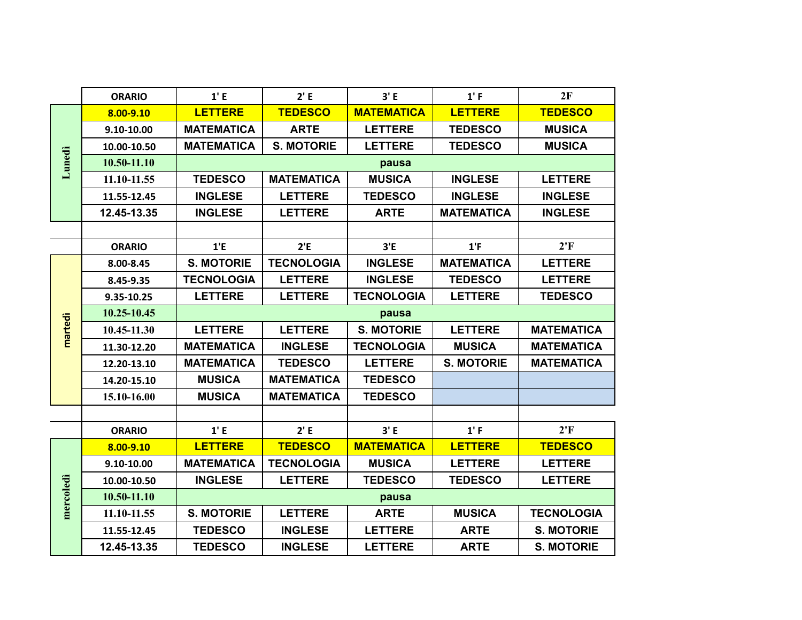|           | <b>ORARIO</b> | 1' E              | 2' E              | 3' E              | 1' F              | 2F                |  |
|-----------|---------------|-------------------|-------------------|-------------------|-------------------|-------------------|--|
| Lunedi    | 8.00-9.10     | <b>LETTERE</b>    | <b>TEDESCO</b>    | <b>MATEMATICA</b> | <b>LETTERE</b>    | <b>TEDESCO</b>    |  |
|           | 9.10-10.00    | <b>MATEMATICA</b> | <b>ARTE</b>       | <b>LETTERE</b>    | <b>TEDESCO</b>    | <b>MUSICA</b>     |  |
|           | 10.00-10.50   | <b>MATEMATICA</b> | <b>S. MOTORIE</b> | <b>LETTERE</b>    | <b>TEDESCO</b>    | <b>MUSICA</b>     |  |
|           | 10.50-11.10   | pausa             |                   |                   |                   |                   |  |
|           | 11.10-11.55   | <b>TEDESCO</b>    | <b>MATEMATICA</b> | <b>MUSICA</b>     | <b>INGLESE</b>    | <b>LETTERE</b>    |  |
|           | 11.55-12.45   | <b>INGLESE</b>    | <b>LETTERE</b>    | <b>TEDESCO</b>    | <b>INGLESE</b>    | <b>INGLESE</b>    |  |
|           | 12.45-13.35   | <b>INGLESE</b>    | <b>LETTERE</b>    | <b>ARTE</b>       | <b>MATEMATICA</b> | <b>INGLESE</b>    |  |
|           |               |                   |                   |                   |                   |                   |  |
|           | <b>ORARIO</b> | 1'E               | 2'E               | 3'E               | 1'F               | 2'F               |  |
|           | 8.00-8.45     | <b>S. MOTORIE</b> | <b>TECNOLOGIA</b> | <b>INGLESE</b>    | <b>MATEMATICA</b> | <b>LETTERE</b>    |  |
| martedì   | 8.45-9.35     | <b>TECNOLOGIA</b> | <b>LETTERE</b>    | <b>INGLESE</b>    | <b>TEDESCO</b>    | <b>LETTERE</b>    |  |
|           | 9.35-10.25    | <b>LETTERE</b>    | <b>LETTERE</b>    | <b>TECNOLOGIA</b> | <b>LETTERE</b>    | <b>TEDESCO</b>    |  |
|           | 10.25-10.45   | pausa             |                   |                   |                   |                   |  |
|           | 10.45-11.30   | <b>LETTERE</b>    | <b>LETTERE</b>    | <b>S. MOTORIE</b> | <b>LETTERE</b>    | <b>MATEMATICA</b> |  |
|           | 11.30-12.20   | <b>MATEMATICA</b> | <b>INGLESE</b>    | <b>TECNOLOGIA</b> | <b>MUSICA</b>     | <b>MATEMATICA</b> |  |
|           | 12.20-13.10   | <b>MATEMATICA</b> | <b>TEDESCO</b>    | <b>LETTERE</b>    | <b>S. MOTORIE</b> | <b>MATEMATICA</b> |  |
|           | 14.20-15.10   | <b>MUSICA</b>     | <b>MATEMATICA</b> | <b>TEDESCO</b>    |                   |                   |  |
|           | 15.10-16.00   | <b>MUSICA</b>     | <b>MATEMATICA</b> | <b>TEDESCO</b>    |                   |                   |  |
|           |               |                   |                   |                   |                   |                   |  |
|           | <b>ORARIO</b> | 1' E              | 2' E              | 3' E              | 1' F              | 2'F               |  |
|           | 8.00-9.10     | <b>LETTERE</b>    | <b>TEDESCO</b>    | <b>MATEMATICA</b> | <b>LETTERE</b>    | <b>TEDESCO</b>    |  |
|           | 9.10-10.00    | <b>MATEMATICA</b> | <b>TECNOLOGIA</b> | <b>MUSICA</b>     | <b>LETTERE</b>    | <b>LETTERE</b>    |  |
| mercoledi | 10.00-10.50   | <b>INGLESE</b>    | <b>LETTERE</b>    | <b>TEDESCO</b>    | <b>TEDESCO</b>    | <b>LETTERE</b>    |  |
|           | 10.50-11.10   | pausa             |                   |                   |                   |                   |  |
|           | 11.10-11.55   | <b>S. MOTORIE</b> | <b>LETTERE</b>    | <b>ARTE</b>       | <b>MUSICA</b>     | <b>TECNOLOGIA</b> |  |
|           | 11.55-12.45   | <b>TEDESCO</b>    | <b>INGLESE</b>    | <b>LETTERE</b>    | <b>ARTE</b>       | <b>S. MOTORIE</b> |  |
|           | 12.45-13.35   | <b>TEDESCO</b>    | <b>INGLESE</b>    | <b>LETTERE</b>    | <b>ARTE</b>       | <b>S. MOTORIE</b> |  |